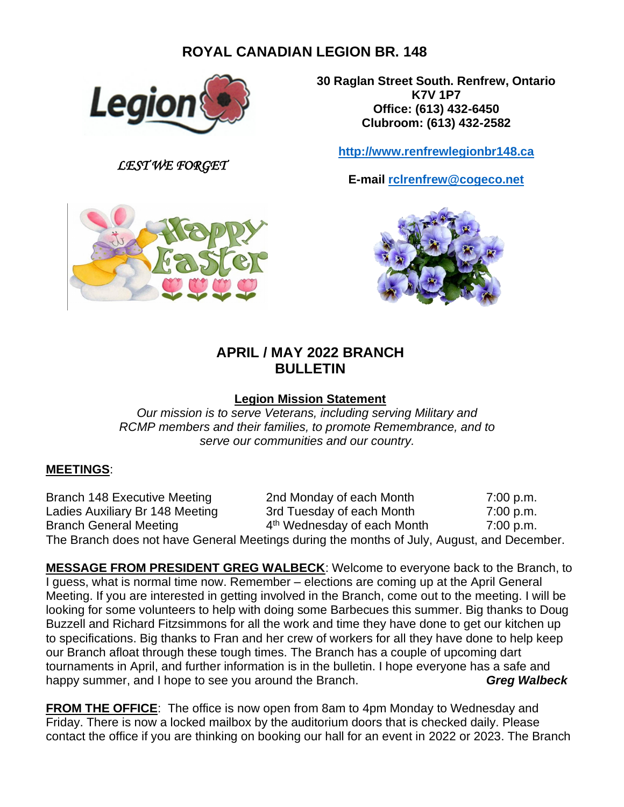# **ROYAL CANADIAN LEGION BR. 148**



*LEST WE FORGET*



**30 Raglan Street South. Renfrew, Ontario K7V 1P7 Office: (613) 432-6450 Clubroom: (613) 432-2582**

**[http://www.renfrewlegionbr148.ca](http://www.renfrewlegionbr148.ca/)**

**E-mail [rclrenfrew@cogeco.net](mailto:rclrenfrew@cogeco.net)**



# **APRIL / MAY 2022 BRANCH BULLETIN**

### **Legion Mission Statement**

*Our mission is to serve Veterans, including serving Military and RCMP members and their families, to promote Remembrance, and to serve our communities and our country.*

#### **MEETINGS**:

Branch 148 Executive Meeting 2nd Monday of each Month 7:00 p.m. Ladies Auxiliary Br 148 Meeting 3rd Tuesday of each Month 7:00 p.m. Branch General Meeting 4 4<sup>th</sup> Wednesday of each Month 7:00 p.m. The Branch does not have General Meetings during the months of July, August, and December.

**MESSAGE FROM PRESIDENT GREG WALBECK**: Welcome to everyone back to the Branch, to I guess, what is normal time now. Remember – elections are coming up at the April General Meeting. If you are interested in getting involved in the Branch, come out to the meeting. I will be looking for some volunteers to help with doing some Barbecues this summer. Big thanks to Doug Buzzell and Richard Fitzsimmons for all the work and time they have done to get our kitchen up to specifications. Big thanks to Fran and her crew of workers for all they have done to help keep our Branch afloat through these tough times. The Branch has a couple of upcoming dart tournaments in April, and further information is in the bulletin. I hope everyone has a safe and happy summer, and I hope to see you around the Branch. **Green State Canadian Creg Walbeck** 

**FROM THE OFFICE**: The office is now open from 8am to 4pm Monday to Wednesday and Friday. There is now a locked mailbox by the auditorium doors that is checked daily. Please contact the office if you are thinking on booking our hall for an event in 2022 or 2023. The Branch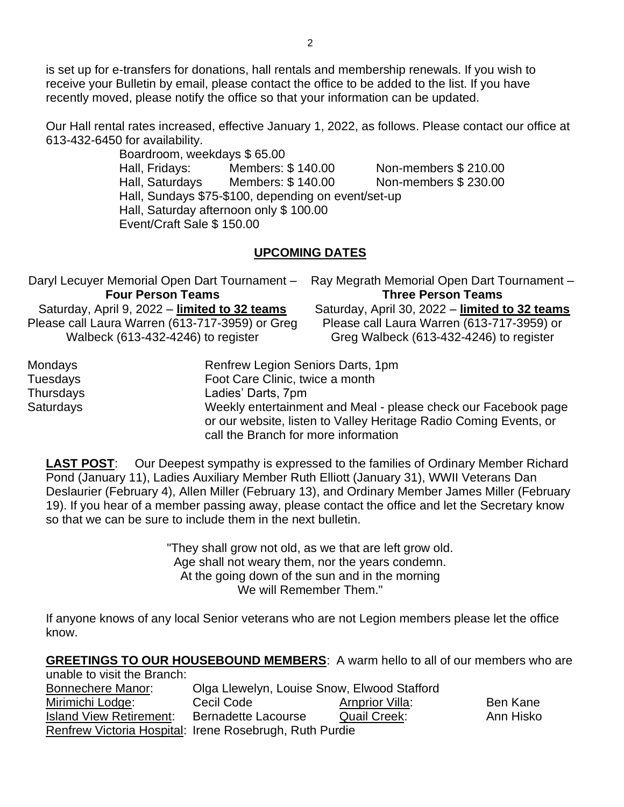is set up for e-transfers for donations, hall rentals and membership renewals. If you wish to receive your Bulletin by email, please contact the office to be added to the list. If you have recently moved, please notify the office so that your information can be updated.

Our Hall rental rates increased, effective January 1, 2022, as follows. Please contact our office at 613-432-6450 for availability.

> Boardroom, weekdays \$ 65.00 Hall, Fridays: Members: \$ 140.00 Non-members \$ 210.00 Hall, Saturdays Members: \$140.00 Non-members \$230.00 Hall, Sundays \$75-\$100, depending on event/set-up Hall, Saturday afternoon only \$ 100.00 Event/Craft Sale \$ 150.00

### **UPCOMING DATES**

|                                                 | Daryl Lecuyer Memorial Open Dart Tournament - | Ray Megrath Memorial Open Dart Tournament -    |  |  |
|-------------------------------------------------|-----------------------------------------------|------------------------------------------------|--|--|
|                                                 | <b>Four Person Teams</b>                      | <b>Three Person Teams</b>                      |  |  |
|                                                 | Saturday, April 9, 2022 - limited to 32 teams | Saturday, April 30, 2022 - limited to 32 teams |  |  |
| Please call Laura Warren (613-717-3959) or Greg |                                               | Please call Laura Warren (613-717-3959) or     |  |  |
| Walbeck (613-432-4246) to register              |                                               | Greg Walbeck (613-432-4246) to register        |  |  |
| Mondays                                         | Renfrew Legion Seniors Darts, 1pm             |                                                |  |  |
| Tuesdays                                        | Foot Care Clinic, twice a month               |                                                |  |  |
| Thursdaug                                       | معمد منسم الممناسم ا                          |                                                |  |  |

Thursdays Ladies' Darts, 7pm Saturdays Weekly entertainment and Meal - please check our Facebook page or our website, listen to Valley Heritage Radio Coming Events, or call the Branch for more information

**LAST POST:** Our Deepest sympathy is expressed to the families of Ordinary Member Richard Pond (January 11), Ladies Auxiliary Member Ruth Elliott (January 31), WWII Veterans Dan Deslaurier (February 4), Allen Miller (February 13), and Ordinary Member James Miller (February 19). If you hear of a member passing away, please contact the office and let the Secretary know so that we can be sure to include them in the next bulletin.

> "They shall grow not old, as we that are left grow old. Age shall not weary them, nor the years condemn. At the going down of the sun and in the morning We will Remember Them."

If anyone knows of any local Senior veterans who are not Legion members please let the office know.

**GREETINGS TO OUR HOUSEBOUND MEMBERS**: A warm hello to all of our members who are unable to visit the Branch:

| <b>Bonnechere Manor:</b>       | Olga Llewelyn, Louise Snow, Elwood Stafford             |                     |           |  |  |
|--------------------------------|---------------------------------------------------------|---------------------|-----------|--|--|
| Mirimichi Lodge:               | Cecil Code                                              | Arnprior Villa:     | Ben Kane  |  |  |
| <b>Island View Retirement:</b> | <b>Bernadette Lacourse</b>                              | <b>Quail Creek:</b> | Ann Hisko |  |  |
|                                | Renfrew Victoria Hospital: Irene Rosebrugh, Ruth Purdie |                     |           |  |  |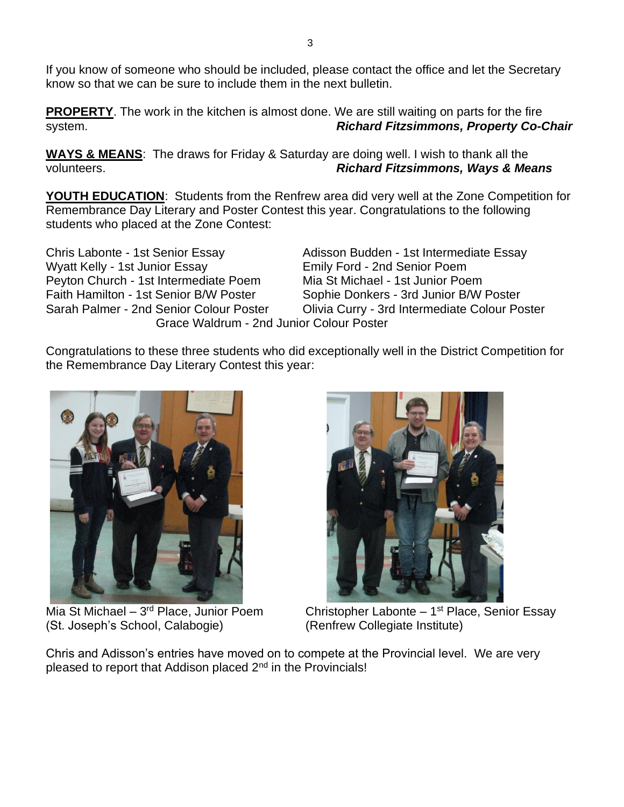If you know of someone who should be included, please contact the office and let the Secretary know so that we can be sure to include them in the next bulletin.

**PROPERTY**. The work in the kitchen is almost done. We are still waiting on parts for the fire system. *Richard Fitzsimmons, Property Co-Chair*

**WAYS & MEANS**: The draws for Friday & Saturday are doing well. I wish to thank all the volunteers. *Richard Fitzsimmons, Ways & Means*

**YOUTH EDUCATION**: Students from the Renfrew area did very well at the Zone Competition for Remembrance Day Literary and Poster Contest this year. Congratulations to the following students who placed at the Zone Contest:

Chris Labonte - 1st Senior Essay Adisson Budden - 1st Intermediate Essay Wyatt Kelly - 1st Junior Essay **Emily Ford - 2nd Senior Poem** Peyton Church - 1st Intermediate Poem Mia St Michael - 1st Junior Poem Faith Hamilton - 1st Senior B/W Poster Sophie Donkers - 3rd Junior B/W Poster Grace Waldrum - 2nd Junior Colour Poster

Sarah Palmer - 2nd Senior Colour Poster Colivia Curry - 3rd Intermediate Colour Poster

Congratulations to these three students who did exceptionally well in the District Competition for the Remembrance Day Literary Contest this year:



Mia St Michael – 3<sup>rd</sup> Place, Junior Poem (St. Joseph's School, Calabogie)



Christopher Labonte - 1<sup>st</sup> Place, Senior Essay (Renfrew Collegiate Institute)

Chris and Adisson's entries have moved on to compete at the Provincial level. We are very pleased to report that Addison placed 2<sup>nd</sup> in the Provincials!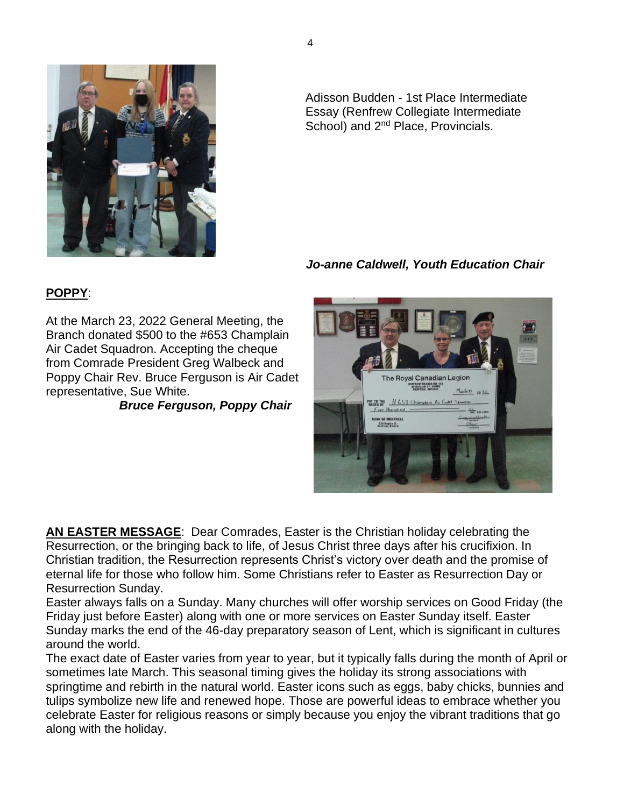

Adisson Budden - 1st Place Intermediate Essay (Renfrew Collegiate Intermediate School) and 2<sup>nd</sup> Place, Provincials.

# *Jo-anne Caldwell, Youth Education Chair*

The Royal Canadian Legion **INFREW BRANCK NO. 14**<br>30 RAGLAM ST. SOUTH<br>RENFREW, ONTARIO

PAY TO THE H653 Champlain Air Cadel

 $M<sub>arch</sub> 73$  20 22

# **POPPY**:

At the March 23, 2022 General Meeting, the Branch donated \$500 to the #653 Champlain Air Cadet Squadron. Accepting the cheque from Comrade President Greg Walbeck and Poppy Chair Rev. Bruce Ferguson is Air Cadet representative, Sue White.

*Bruce Ferguson, Poppy Chair*

**AN EASTER MESSAGE**: Dear Comrades, Easter is the Christian holiday celebrating the Resurrection, or the bringing back to life, of Jesus Christ three days after his crucifixion. In Christian tradition, the Resurrection represents Christ's victory over death and the promise of eternal life for those who follow him. Some Christians refer to Easter as Resurrection Day or Resurrection Sunday.

Easter always falls on a Sunday. Many churches will offer worship services on Good Friday (the Friday just before Easter) along with one or more services on Easter Sunday itself. Easter Sunday marks the end of the 46-day preparatory season of Lent, which is significant in cultures around the world.

The exact date of Easter varies from year to year, but it typically falls during the month of April or sometimes late March. This seasonal timing gives the holiday its strong associations with springtime and rebirth in the natural world. Easter icons such as eggs, baby chicks, bunnies and tulips symbolize new life and renewed hope. Those are powerful ideas to embrace whether you celebrate Easter for religious reasons or simply because you enjoy the vibrant traditions that go along with the holiday.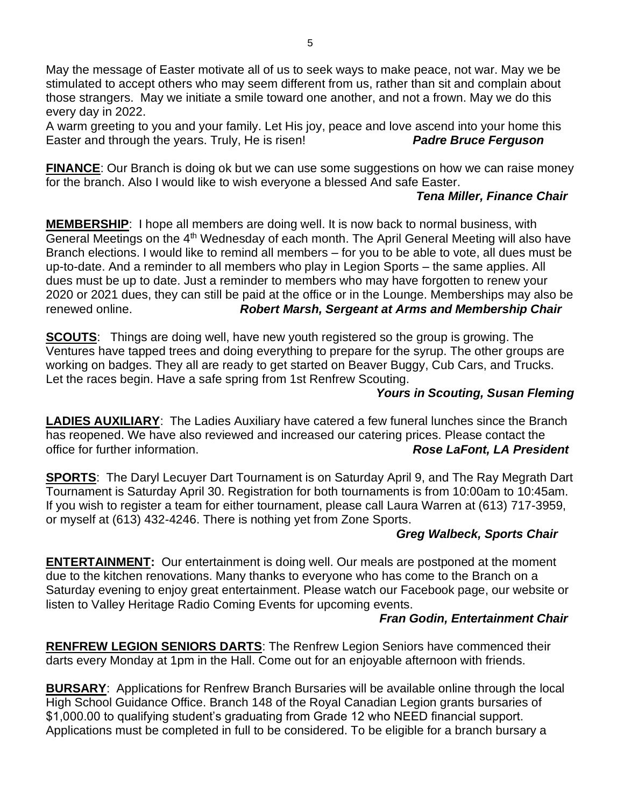May the message of Easter motivate all of us to seek ways to make peace, not war. May we be stimulated to accept others who may seem different from us, rather than sit and complain about those strangers. May we initiate a smile toward one another, and not a frown. May we do this every day in 2022.

A warm greeting to you and your family. Let His joy, peace and love ascend into your home this Easter and through the years. Truly, He is risen! *Padre Bruce Ferguson*

**FINANCE**: Our Branch is doing ok but we can use some suggestions on how we can raise money for the branch. Also I would like to wish everyone a blessed And safe Easter.

### *Tena Miller, Finance Chair*

**MEMBERSHIP**: I hope all members are doing well. It is now back to normal business, with General Meetings on the 4<sup>th</sup> Wednesday of each month. The April General Meeting will also have Branch elections. I would like to remind all members – for you to be able to vote, all dues must be up-to-date. And a reminder to all members who play in Legion Sports – the same applies. All dues must be up to date. Just a reminder to members who may have forgotten to renew your 2020 or 2021 dues, they can still be paid at the office or in the Lounge. Memberships may also be renewed online. *Robert Marsh, Sergeant at Arms and Membership Chair*

**SCOUTS**: Things are doing well, have new youth registered so the group is growing. The Ventures have tapped trees and doing everything to prepare for the syrup. The other groups are working on badges. They all are ready to get started on Beaver Buggy, Cub Cars, and Trucks. Let the races begin. Have a safe spring from 1st Renfrew Scouting.

#### *Yours in Scouting, Susan Fleming*

**LADIES AUXILIARY**: The Ladies Auxiliary have catered a few funeral lunches since the Branch has reopened. We have also reviewed and increased our catering prices. Please contact the office for further information. *Rose LaFont, LA President*

**SPORTS**: The Daryl Lecuyer Dart Tournament is on Saturday April 9, and The Ray Megrath Dart Tournament is Saturday April 30. Registration for both tournaments is from 10:00am to 10:45am. If you wish to register a team for either tournament, please call Laura Warren at (613) 717-3959, or myself at (613) 432-4246. There is nothing yet from Zone Sports.

## *Greg Walbeck, Sports Chair*

**ENTERTAINMENT:** Our entertainment is doing well. Our meals are postponed at the moment due to the kitchen renovations. Many thanks to everyone who has come to the Branch on a Saturday evening to enjoy great entertainment. Please watch our Facebook page, our website or listen to Valley Heritage Radio Coming Events for upcoming events.

#### *Fran Godin, Entertainment Chair*

**RENFREW LEGION SENIORS DARTS**: The Renfrew Legion Seniors have commenced their darts every Monday at 1pm in the Hall. Come out for an enjoyable afternoon with friends.

**BURSARY**: Applications for Renfrew Branch Bursaries will be available online through the local High School Guidance Office. Branch 148 of the Royal Canadian Legion grants bursaries of \$1,000.00 to qualifying student's graduating from Grade 12 who NEED financial support. Applications must be completed in full to be considered. To be eligible for a branch bursary a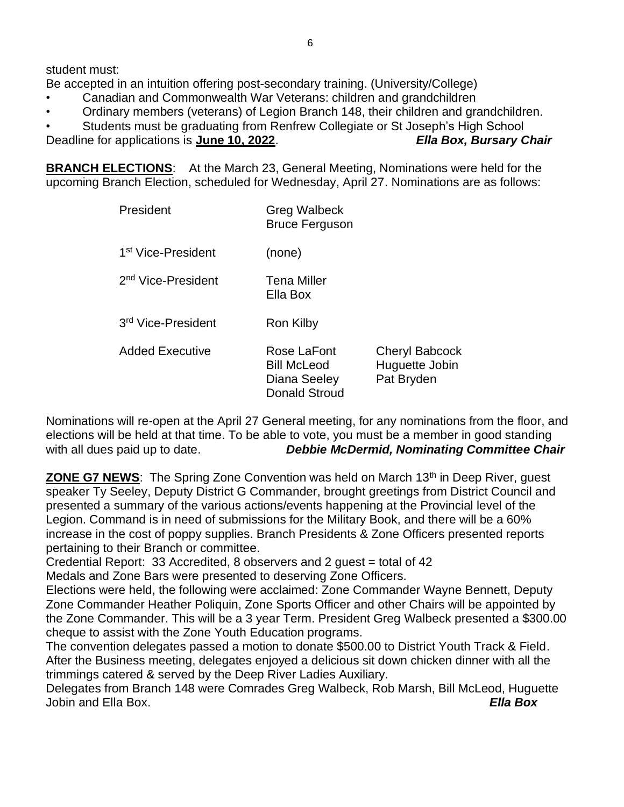student must:

Be accepted in an intuition offering post-secondary training. (University/College)

- Canadian and Commonwealth War Veterans: children and grandchildren
- Ordinary members (veterans) of Legion Branch 148, their children and grandchildren.

• Students must be graduating from Renfrew Collegiate or St Joseph's High School Deadline for applications is **June 10, 2022**. *Ella Box, Bursary Chair*

**BRANCH ELECTIONS**: At the March 23, General Meeting, Nominations were held for the upcoming Branch Election, scheduled for Wednesday, April 27. Nominations are as follows:

| President                      | <b>Greg Walbeck</b><br><b>Bruce Ferguson</b>                       |                                                       |  |  |
|--------------------------------|--------------------------------------------------------------------|-------------------------------------------------------|--|--|
| 1 <sup>st</sup> Vice-President | (none)                                                             |                                                       |  |  |
| 2 <sup>nd</sup> Vice-President | Tena Miller<br>Ella Box                                            |                                                       |  |  |
| 3rd Vice-President             | Ron Kilby                                                          |                                                       |  |  |
| <b>Added Executive</b>         | Rose LaFont<br><b>Bill McLeod</b><br>Diana Seeley<br>Donald Stroud | <b>Cheryl Babcock</b><br>Huguette Jobin<br>Pat Bryden |  |  |

Nominations will re-open at the April 27 General meeting, for any nominations from the floor, and elections will be held at that time. To be able to vote, you must be a member in good standing with all dues paid up to date. *Debbie McDermid, Nominating Committee Chair*

**ZONE G7 NEWS:** The Spring Zone Convention was held on March 13<sup>th</sup> in Deep River, guest speaker Ty Seeley, Deputy District G Commander, brought greetings from District Council and presented a summary of the various actions/events happening at the Provincial level of the Legion. Command is in need of submissions for the Military Book, and there will be a 60% increase in the cost of poppy supplies. Branch Presidents & Zone Officers presented reports pertaining to their Branch or committee.

Credential Report: 33 Accredited, 8 observers and 2 guest = total of 42

Medals and Zone Bars were presented to deserving Zone Officers.

Elections were held, the following were acclaimed: Zone Commander Wayne Bennett, Deputy Zone Commander Heather Poliquin, Zone Sports Officer and other Chairs will be appointed by the Zone Commander. This will be a 3 year Term. President Greg Walbeck presented a \$300.00 cheque to assist with the Zone Youth Education programs.

The convention delegates passed a motion to donate \$500.00 to District Youth Track & Field. After the Business meeting, delegates enjoyed a delicious sit down chicken dinner with all the trimmings catered & served by the Deep River Ladies Auxiliary.

Delegates from Branch 148 were Comrades Greg Walbeck, Rob Marsh, Bill McLeod, Huguette Jobin and Ella Box. *Ella Box*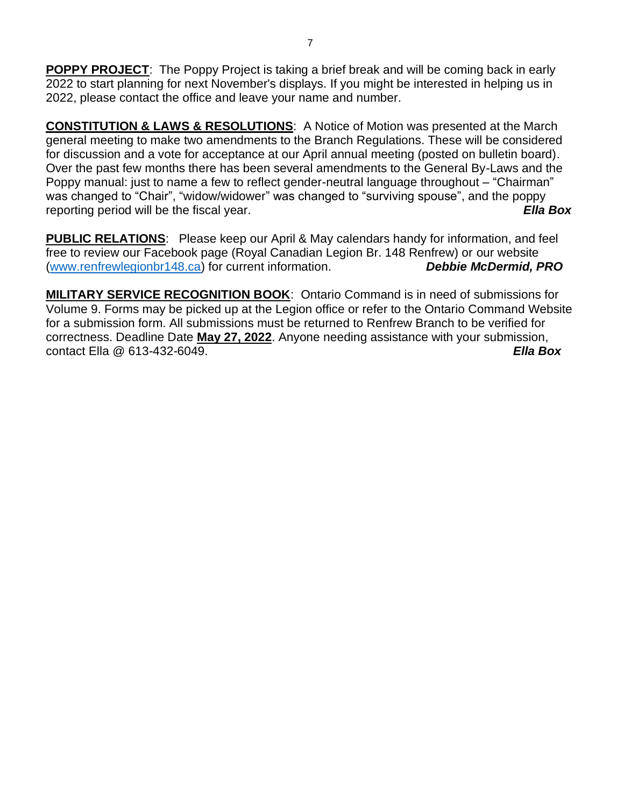**POPPY PROJECT**: The Poppy Project is taking a brief break and will be coming back in early 2022 to start planning for next November's displays. If you might be interested in helping us in 2022, please contact the office and leave your name and number.

**CONSTITUTION & LAWS & RESOLUTIONS**: A Notice of Motion was presented at the March general meeting to make two amendments to the Branch Regulations. These will be considered for discussion and a vote for acceptance at our April annual meeting (posted on bulletin board). Over the past few months there has been several amendments to the General By-Laws and the Poppy manual: just to name a few to reflect gender-neutral language throughout – "Chairman" was changed to "Chair", "widow/widower" was changed to "surviving spouse", and the poppy reporting period will be the fiscal year. *Ella Box*

**PUBLIC RELATIONS**: Please keep our April & May calendars handy for information, and feel free to review our Facebook page (Royal Canadian Legion Br. 148 Renfrew) or our website [\(www.renfrewlegionbr148.ca\)](http://www.renfrewlegionbr148.ca/) for current information. *Debbie McDermid, PRO*

**MILITARY SERVICE RECOGNITION BOOK**: Ontario Command is in need of submissions for Volume 9. Forms may be picked up at the Legion office or refer to the Ontario Command Website for a submission form. All submissions must be returned to Renfrew Branch to be verified for correctness. Deadline Date **May 27, 2022**. Anyone needing assistance with your submission, contact Ella @ 613-432-6049. *Ella Box*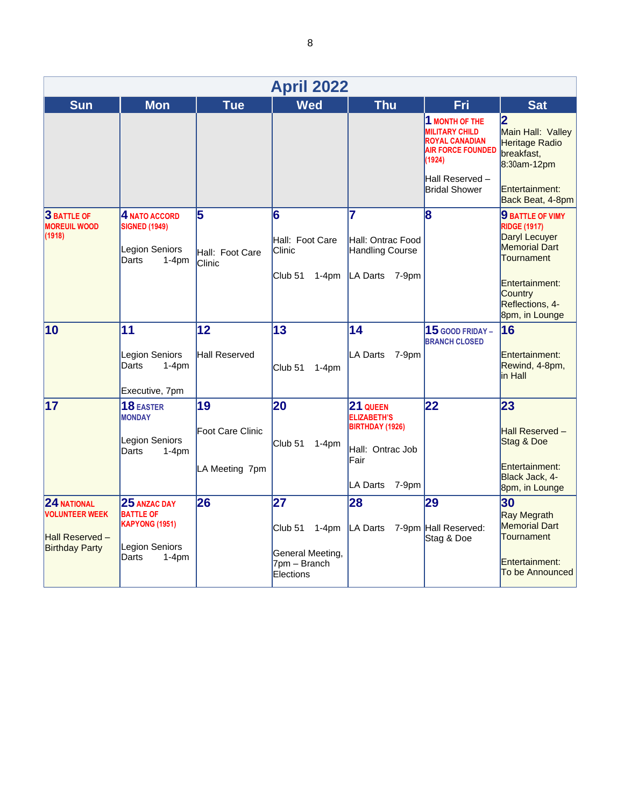| <b>April 2022</b>                                                                  |                                                                                                 |                                                 |                                                                                      |                                                                                                    |                                                                                                                                                   |                                                                                                                                                                  |
|------------------------------------------------------------------------------------|-------------------------------------------------------------------------------------------------|-------------------------------------------------|--------------------------------------------------------------------------------------|----------------------------------------------------------------------------------------------------|---------------------------------------------------------------------------------------------------------------------------------------------------|------------------------------------------------------------------------------------------------------------------------------------------------------------------|
| <b>Sun</b>                                                                         | <b>Mon</b>                                                                                      | <b>Tue</b>                                      | <b>Wed</b>                                                                           | <b>Thu</b>                                                                                         | <b>Fri</b>                                                                                                                                        | <b>Sat</b>                                                                                                                                                       |
|                                                                                    |                                                                                                 |                                                 |                                                                                      |                                                                                                    | 1 MONTH OF THE<br><b>MILITARY CHILD</b><br><b>ROYAL CANADIAN</b><br><b>AIR FORCE FOUNDED</b><br>(1924)<br>Hall Reserved -<br><b>Bridal Shower</b> | $\overline{\mathbf{2}}$<br>Main Hall: Valley<br>Heritage Radio<br>breakfast,<br>8:30am-12pm<br>Entertainment:<br>Back Beat, 4-8pm                                |
| <b>3 BATTLE OF</b><br><b>MOREUIL WOOD</b><br>(1918)                                | <b>4 NATO ACCORD</b><br><b>SIGNED (1949)</b><br>Legion Seniors<br>Darts<br>$1-4$ pm             | 5<br>Hall: Foot Care<br>Clinic                  | 6<br>Hall: Foot Care<br><b>Clinic</b><br>Club <sub>51</sub><br>$1-4pm$               | 7<br>Hall: Ontrac Food<br>Handling Course<br>LA Darts 7-9pm                                        | 8                                                                                                                                                 | 9 BATTLE OF VIMY<br><b>RIDGE (1917)</b><br>Daryl Lecuyer<br><b>Memorial Dart</b><br>Tournament<br>Entertainment:<br>Country<br>Reflections, 4-<br>8pm, in Lounge |
| $ 10\rangle$                                                                       | 11<br>Legion Seniors<br>Darts<br>$1-4pm$<br>Executive, 7pm                                      | 12<br>Hall Reserved                             | 13<br>Club <sub>51</sub><br>$1-4pm$                                                  | 14<br><b>LA Darts</b><br>7-9pm                                                                     | $15$ GOOD FRIDAY -<br><b>BRANCH CLOSED</b>                                                                                                        | 16<br>Entertainment:<br>Rewind, 4-8pm,<br>in Hall                                                                                                                |
| 17                                                                                 | <b>18 EASTER</b><br><b>MONDAY</b><br>Legion Seniors<br>Darts<br>$1-4pm$                         | 19<br><b>Foot Care Clinic</b><br>LA Meeting 7pm | 20<br>Club <sub>51</sub><br>$1-4pm$                                                  | 21 QUEEN<br><b>ELIZABETH'S</b><br>BIRTHDAY (1926)<br>Hall: Ontrac Job<br>Fair<br>LA Darts<br>7-9pm | 22                                                                                                                                                | 23<br>Hall Reserved -<br>Stag & Doe<br>Entertainment:<br>Black Jack, 4-<br>8pm, in Lounge                                                                        |
| $24$ NATIONAL<br><b>VOLUNTEER WEEK</b><br>Hall Reserved -<br><b>Birthday Party</b> | 25 ANZAC DAY<br><b>BATTLE OF</b><br><b>KAPYONG (1951)</b><br>Legion Seniors<br>Darts<br>$1-4pm$ | 26                                              | 27<br>Club <sub>51</sub><br>$1-4pm$<br>General Meeting,<br>7pm - Branch<br>Elections | 28<br>LA Darts                                                                                     | 29<br>7-9pm Hall Reserved:<br>Stag & Doe                                                                                                          | 30<br><b>Ray Megrath</b><br><b>Memorial Dart</b><br>Tournament<br>Entertainment:<br>To be Announced                                                              |